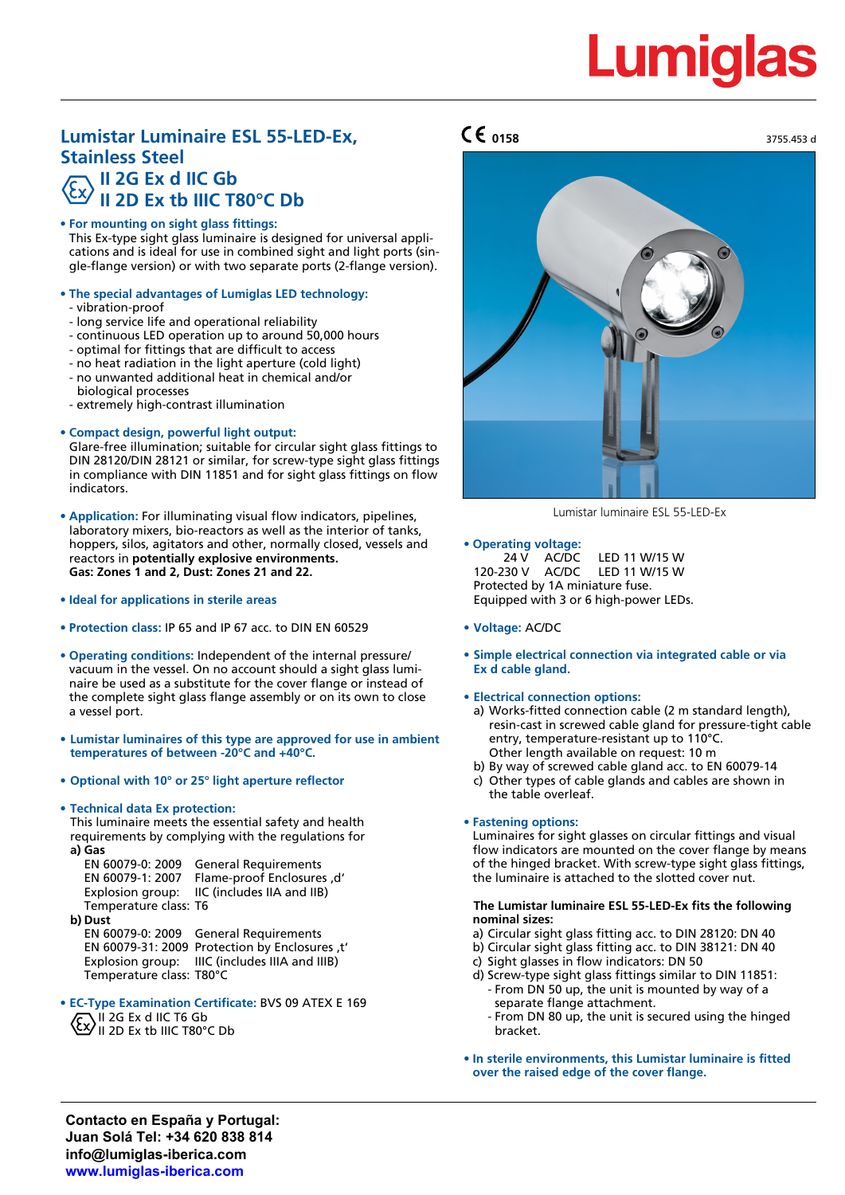# **Lumigla**

# **Lumistar Luminaire ESL 55-LED-Ex,**  $\mathsf{C}\mathsf{C}$  **0158** 3755.453 d **Stainless Steel II 2G Ex d IIC Gb II 2D Ex tb IIIC T80°C Db**

# **• For mounting on sight glass fittings:**

This Ex-type sight glass luminaire is designed for universal applications and is ideal for use in combined sight and light ports (single-flange version) or with two separate ports (2-flange version).

## **• The special advantages of Lumiglas LED technology:**

- vibration-proof
- long service life and operational reliability
- continuous LED operation up to around 50,000 hours
- optimal for fittings that are difficult to access
- no heat radiation in the light aperture (cold light) - no unwanted additional heat in chemical and/or biological processes
- extremely high-contrast illumination

## **• Compact design, powerful light output:**

Glare-free illumination; suitable for circular sight glass fittings to DIN 28120/DIN 28121 or similar, for screw-type sight glass fittings in compliance with DIN 11851 and for sight glass fittings on flow indicators.

- **• Application:** For illuminating visual flow indicators, pipelines, laboratory mixers, bio-reactors as well as the interior of tanks, hoppers, silos, agitators and other, normally closed, vessels and reactors in **potentially explosive environments. Gas: Zones 1 and 2, Dust: Zones 21 and 22.**
- **• Ideal for applications in sterile areas**
- **• Protection class:** IP 65 and IP 67 acc. to DIN EN 60529
- **• Operating conditions:** Independent of the internal pressure/ vacuum in the vessel. On no account should a sight glass luminaire be used as a substitute for the cover flange or instead of the complete sight glass flange assembly or on its own to close a vessel port.
- **• Lumistar luminaires of this type are approved for use in ambient temperatures of between -20°C and +40°C.**
- **• Optional with 10° or 25° light aperture reflector**

## **• Technical data Ex protection:**

This luminaire meets the essential safety and health requirements by complying with the regulations for **a) Gas**

| EN 60079-0: 2009      | <b>General Requirements</b>                 |
|-----------------------|---------------------------------------------|
| EN 60079-1: 2007      | 'd. Flame-proof Enclosures                  |
|                       | Explosion group: IIC (includes IIA and IIB) |
| Temperature class: T6 |                                             |

**b) Dust**

EN 60079-0: 2009 General Requirements EN 60079-31: 2009 Protection by Enclosures ,t' Explosion group: IIIC (includes IIIA and IIIB) Temperature class: T80°C

- **• EC-Type Examination Certificate:** BVS 09 ATEX E 169  $II$  2G Ex d IIC T6 Gb
	- $\langle \overline{\mathcal{L}} \mathbf{X} \rangle$  II 2G Ex to IIIC T80°C Db

# **0158**



Lumistar luminaire ESL 55-LED-Ex

- **• Operating voltage:** 24 V AC/DC LED 11 W/15 W 120-230 V AC/DC LED 11 W/15 W Protected by 1A miniature fuse. Equipped with 3 or 6 high-power LEDs.
- **• Voltage:** AC/DC
- **• Simple electrical connection via integrated cable or via Ex d cable gland.**

## **• Electrical connection options:**

- a) Works-fitted connection cable (2 m standard length), resin-cast in screwed cable gland for pressure-tight cable entry, temperature-resistant up to 110°C. Other length available on request: 10 m
- b) By way of screwed cable gland acc. to EN 60079-14
- c) Other types of cable glands and cables are shown in the table overleaf.

## **• Fastening options:**

Luminaires for sight glasses on circular fittings and visual flow indicators are mounted on the cover flange by means of the hinged bracket. With screw-type sight glass fittings, the luminaire is attached to the slotted cover nut.

#### **The Lumistar luminaire ESL 55-LED-Ex fits the following nominal sizes:**

- a) Circular sight glass fitting acc. to DIN 28120: DN 40
- b) Circular sight glass fitting acc. to DIN 38121: DN 40
- c) Sight glasses in flow indicators: DN 50
- d) Screw-type sight glass fittings similar to DIN 11851: - From DN 50 up, the unit is mounted by way of a separate flange attachment.
	- From DN 80 up, the unit is secured using the hinged bracket.
- **• In sterile environments, this Lumistar luminaire is fitted over the raised edge of the cover flange.**